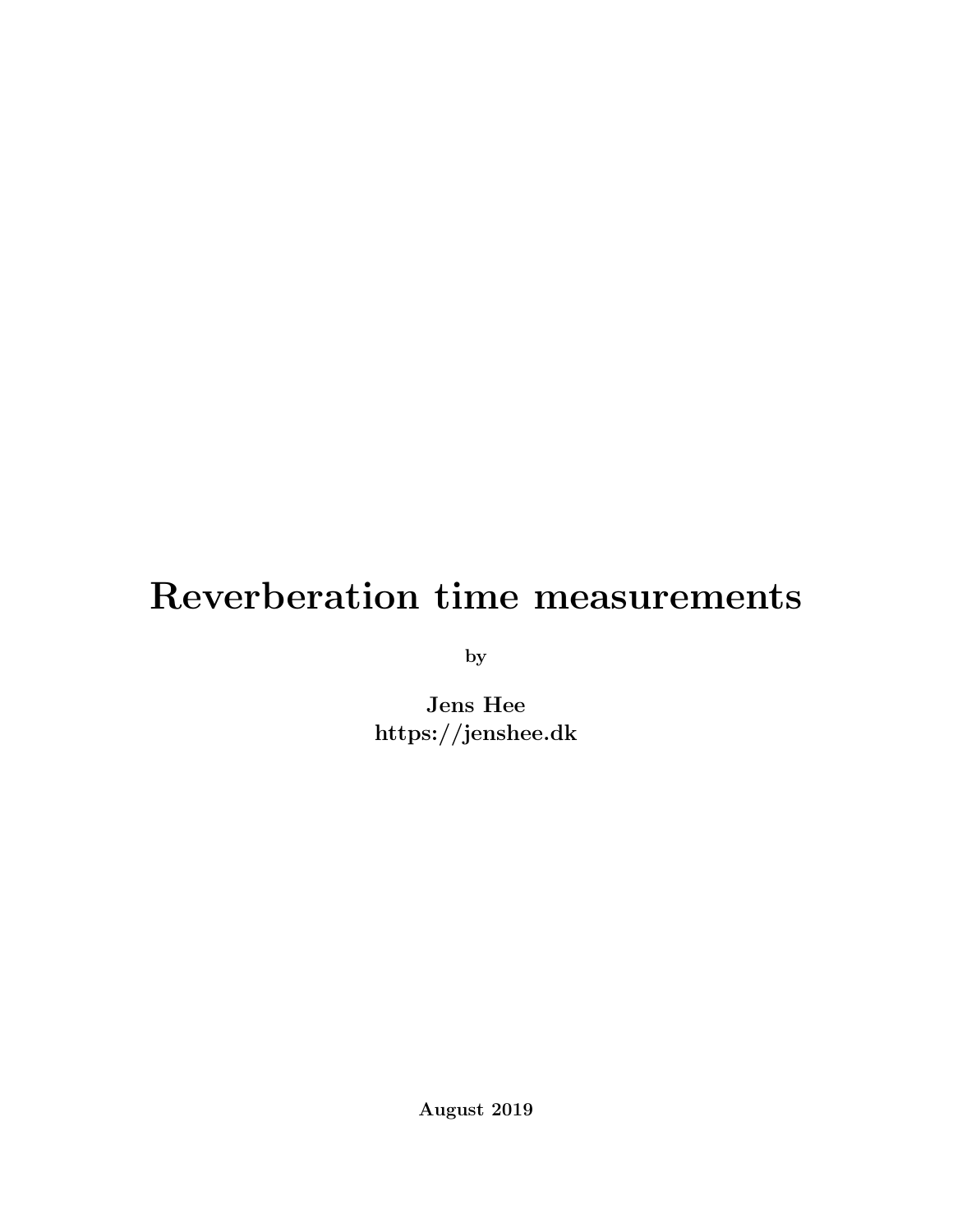## Reverberation time measurements

by

Jens Hee https://jenshee.dk

August 2019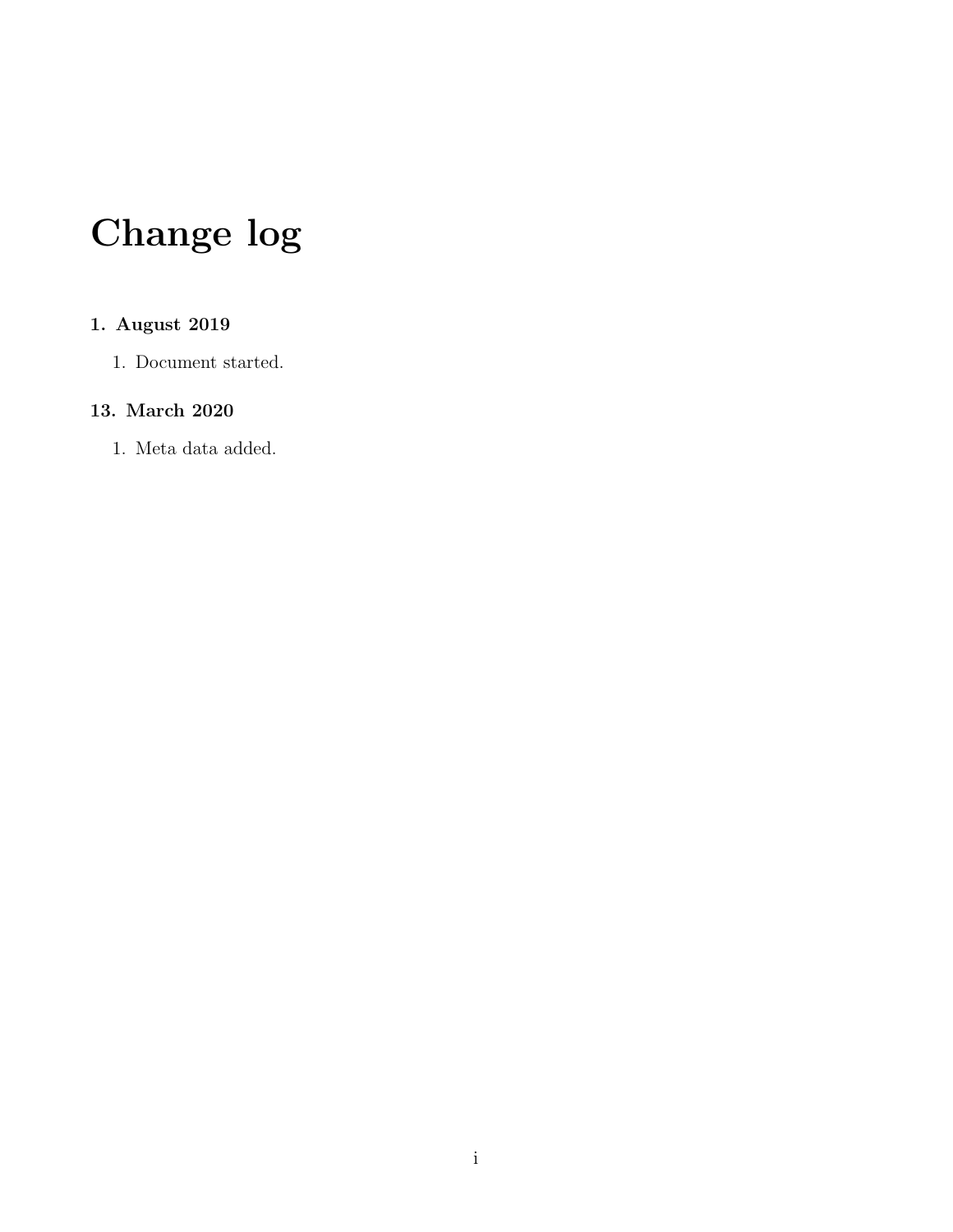# Change log

#### 1. August 2019

1. Document started.

#### 13. March 2020

1. Meta data added.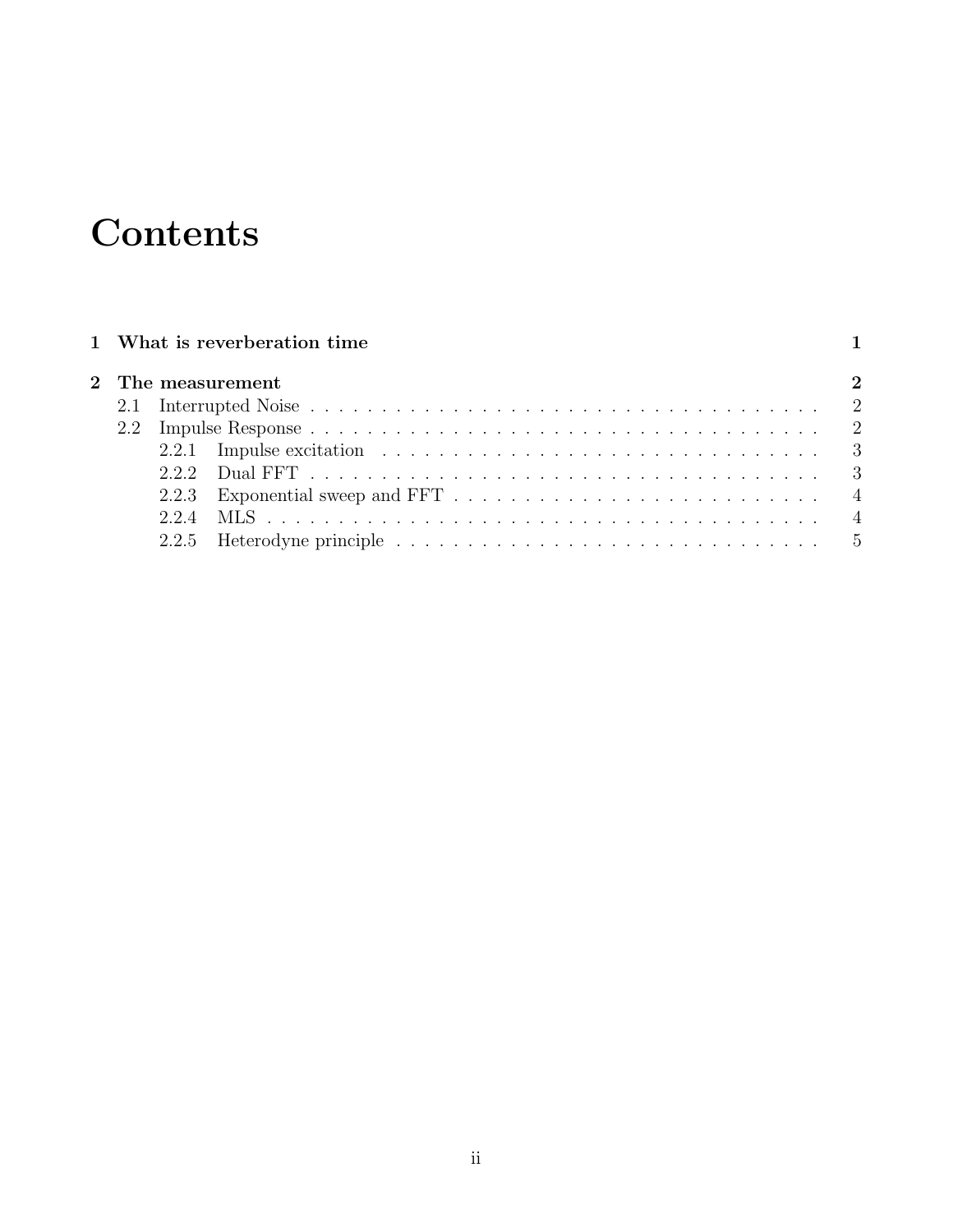## **Contents**

|  | 1 What is reverberation time                                                                              |  |
|--|-----------------------------------------------------------------------------------------------------------|--|
|  | 2 The measurement                                                                                         |  |
|  |                                                                                                           |  |
|  |                                                                                                           |  |
|  | 2.2.1 Impulse excitation $\ldots \ldots \ldots \ldots \ldots \ldots \ldots \ldots \ldots \ldots \ldots$   |  |
|  |                                                                                                           |  |
|  |                                                                                                           |  |
|  |                                                                                                           |  |
|  | 2.2.5 Heterodyne principle $\ldots \ldots \ldots \ldots \ldots \ldots \ldots \ldots \ldots \ldots \ldots$ |  |
|  |                                                                                                           |  |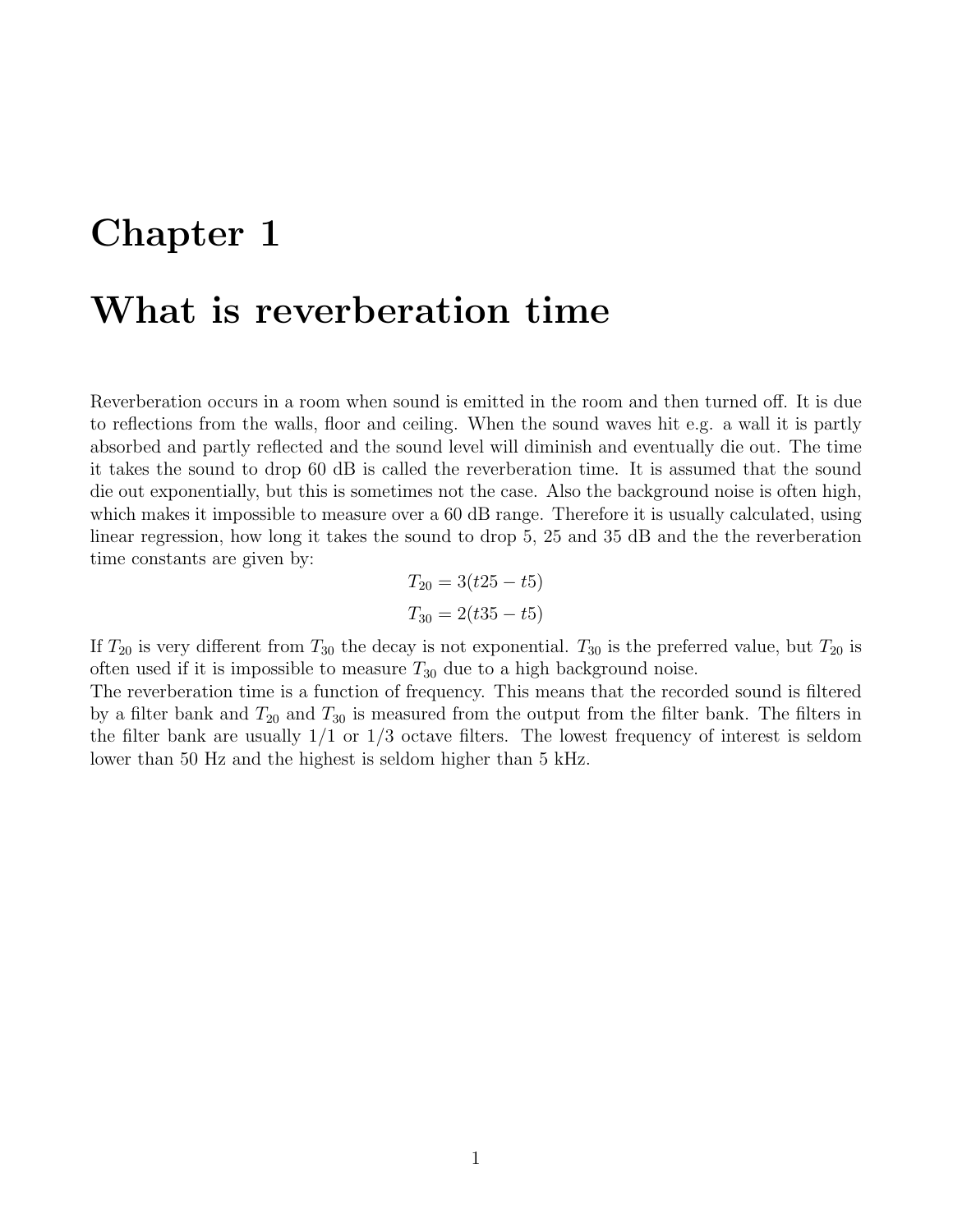### <span id="page-3-0"></span>Chapter 1

### What is reverberation time

Reverberation occurs in a room when sound is emitted in the room and then turned off. It is due to reflections from the walls, floor and ceiling. When the sound waves hit e.g. a wall it is partly absorbed and partly reflected and the sound level will diminish and eventually die out. The time it takes the sound to drop 60 dB is called the reverberation time. It is assumed that the sound die out exponentially, but this is sometimes not the case. Also the background noise is often high, which makes it impossible to measure over a 60 dB range. Therefore it is usually calculated, using linear regression, how long it takes the sound to drop 5, 25 and 35 dB and the the reverberation time constants are given by:

$$
T_{20} = 3(t25 - t5)
$$
  

$$
T_{30} = 2(t35 - t5)
$$

If  $T_{20}$  is very different from  $T_{30}$  the decay is not exponential.  $T_{30}$  is the preferred value, but  $T_{20}$  is often used if it is impossible to measure  $T_{30}$  due to a high background noise.

The reverberation time is a function of frequency. This means that the recorded sound is filtered by a filter bank and  $T_{20}$  and  $T_{30}$  is measured from the output from the filter bank. The filters in the filter bank are usually  $1/1$  or  $1/3$  octave filters. The lowest frequency of interest is seldom lower than 50 Hz and the highest is seldom higher than 5 kHz.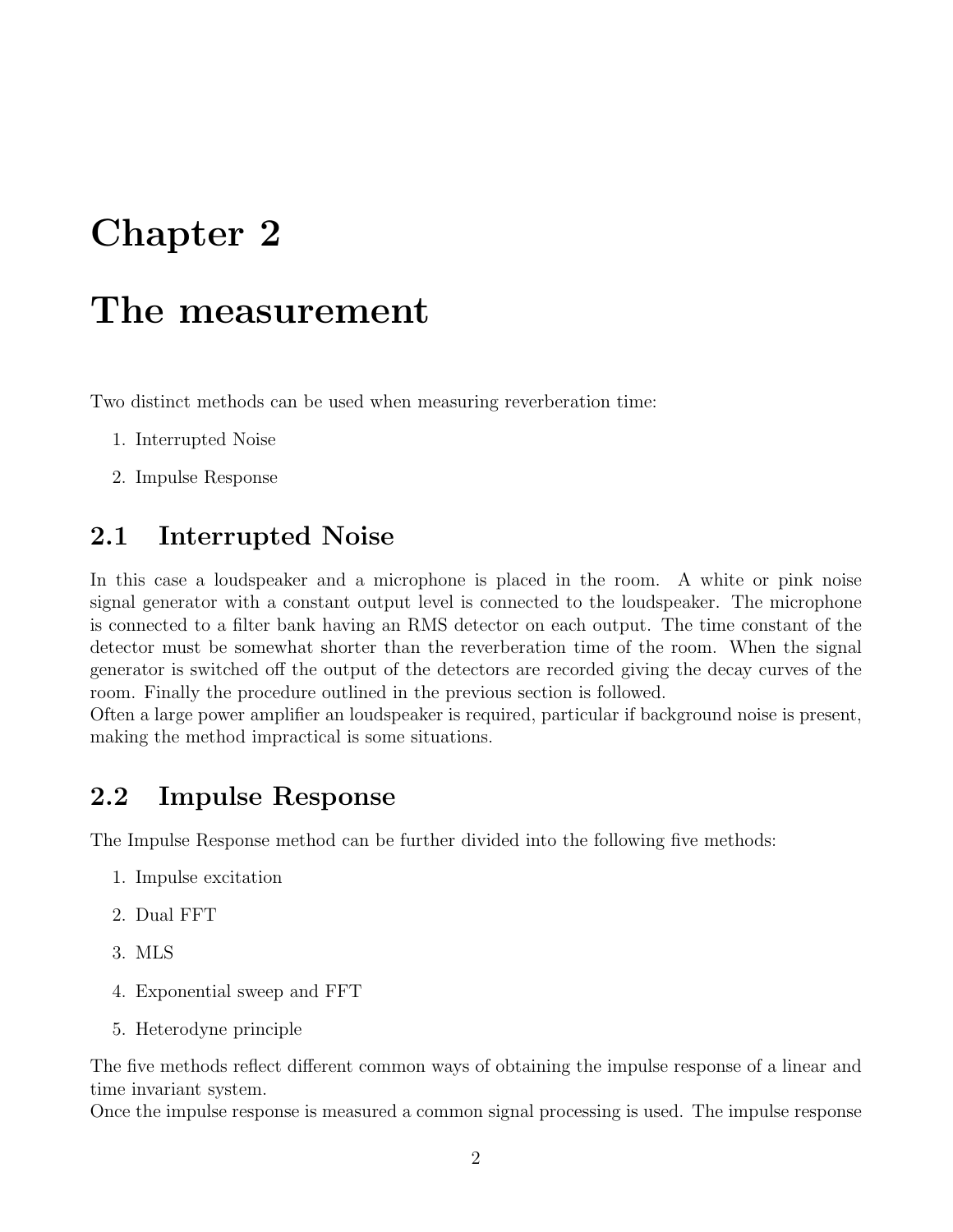## <span id="page-4-0"></span>Chapter 2

### The measurement

Two distinct methods can be used when measuring reverberation time:

- 1. Interrupted Noise
- 2. Impulse Response

#### <span id="page-4-1"></span>2.1 Interrupted Noise

In this case a loudspeaker and a microphone is placed in the room. A white or pink noise signal generator with a constant output level is connected to the loudspeaker. The microphone is connected to a filter bank having an RMS detector on each output. The time constant of the detector must be somewhat shorter than the reverberation time of the room. When the signal generator is switched off the output of the detectors are recorded giving the decay curves of the room. Finally the procedure outlined in the previous section is followed.

Often a large power amplifier an loudspeaker is required, particular if background noise is present, making the method impractical is some situations.

#### <span id="page-4-2"></span>2.2 Impulse Response

The Impulse Response method can be further divided into the following five methods:

- 1. Impulse excitation
- 2. Dual FFT
- 3. MLS
- 4. Exponential sweep and FFT
- 5. Heterodyne principle

The five methods reflect different common ways of obtaining the impulse response of a linear and time invariant system.

Once the impulse response is measured a common signal processing is used. The impulse response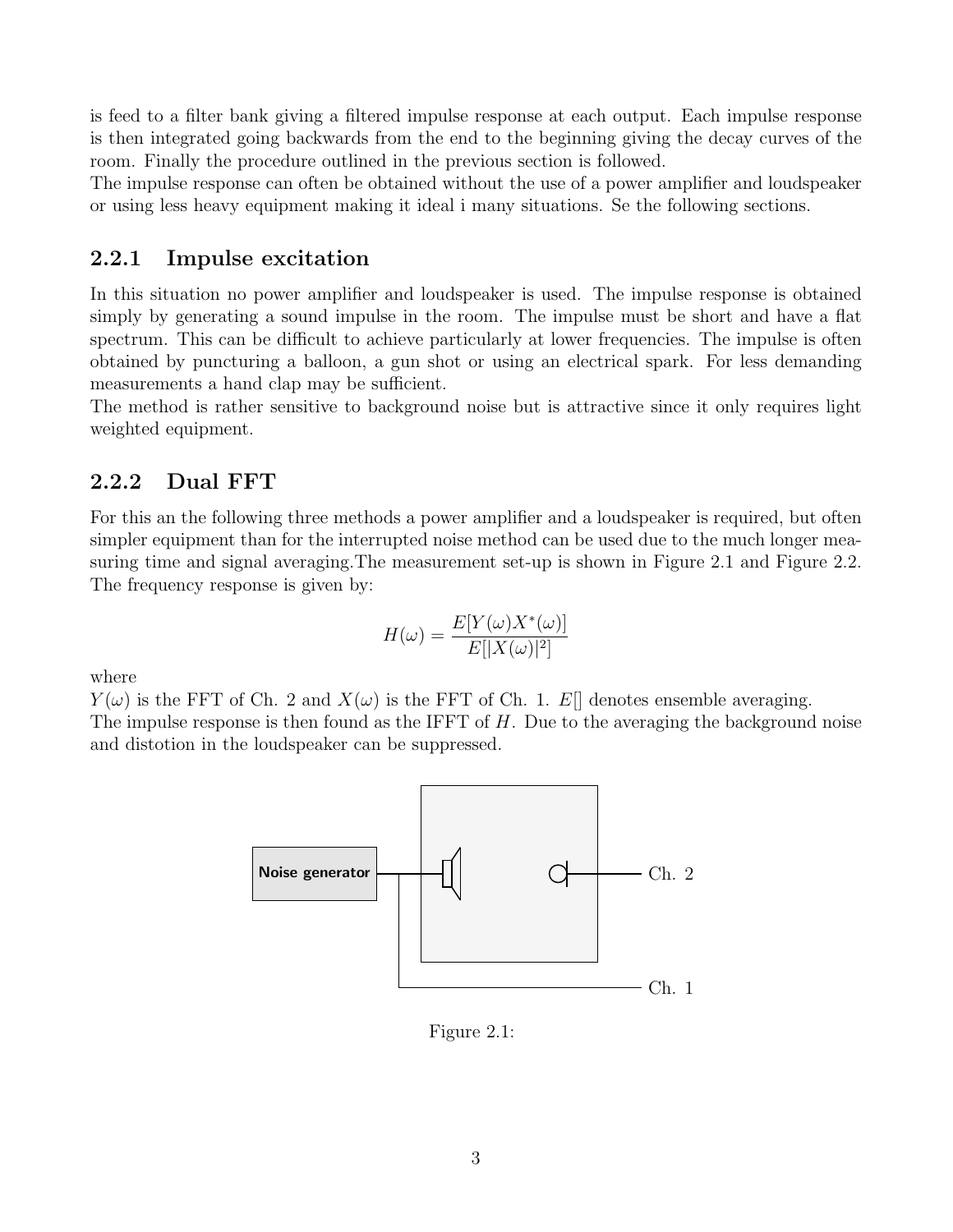is feed to a filter bank giving a filtered impulse response at each output. Each impulse response is then integrated going backwards from the end to the beginning giving the decay curves of the room. Finally the procedure outlined in the previous section is followed.

The impulse response can often be obtained without the use of a power amplifier and loudspeaker or using less heavy equipment making it ideal i many situations. Se the following sections.

#### <span id="page-5-0"></span>2.2.1 Impulse excitation

In this situation no power amplifier and loudspeaker is used. The impulse response is obtained simply by generating a sound impulse in the room. The impulse must be short and have a flat spectrum. This can be difficult to achieve particularly at lower frequencies. The impulse is often obtained by puncturing a balloon, a gun shot or using an electrical spark. For less demanding measurements a hand clap may be sufficient.

The method is rather sensitive to background noise but is attractive since it only requires light weighted equipment.

#### <span id="page-5-1"></span>2.2.2 Dual FFT

For this an the following three methods a power amplifier and a loudspeaker is required, but often simpler equipment than for the interrupted noise method can be used due to the much longer mea-suring time and signal averaging. The measurement set-up is shown in Figure [2.1](#page-5-2) and Figure [2.2.](#page-6-2) The frequency response is given by:

$$
H(\omega) = \frac{E[Y(\omega)X^*(\omega)]}{E[|X(\omega)|^2]}
$$

where

 $Y(\omega)$  is the FFT of Ch. 2 and  $X(\omega)$  is the FFT of Ch. 1. E[] denotes ensemble averaging. The impulse response is then found as the IFFT of  $H$ . Due to the averaging the background noise and distotion in the loudspeaker can be suppressed.



<span id="page-5-2"></span>Figure 2.1: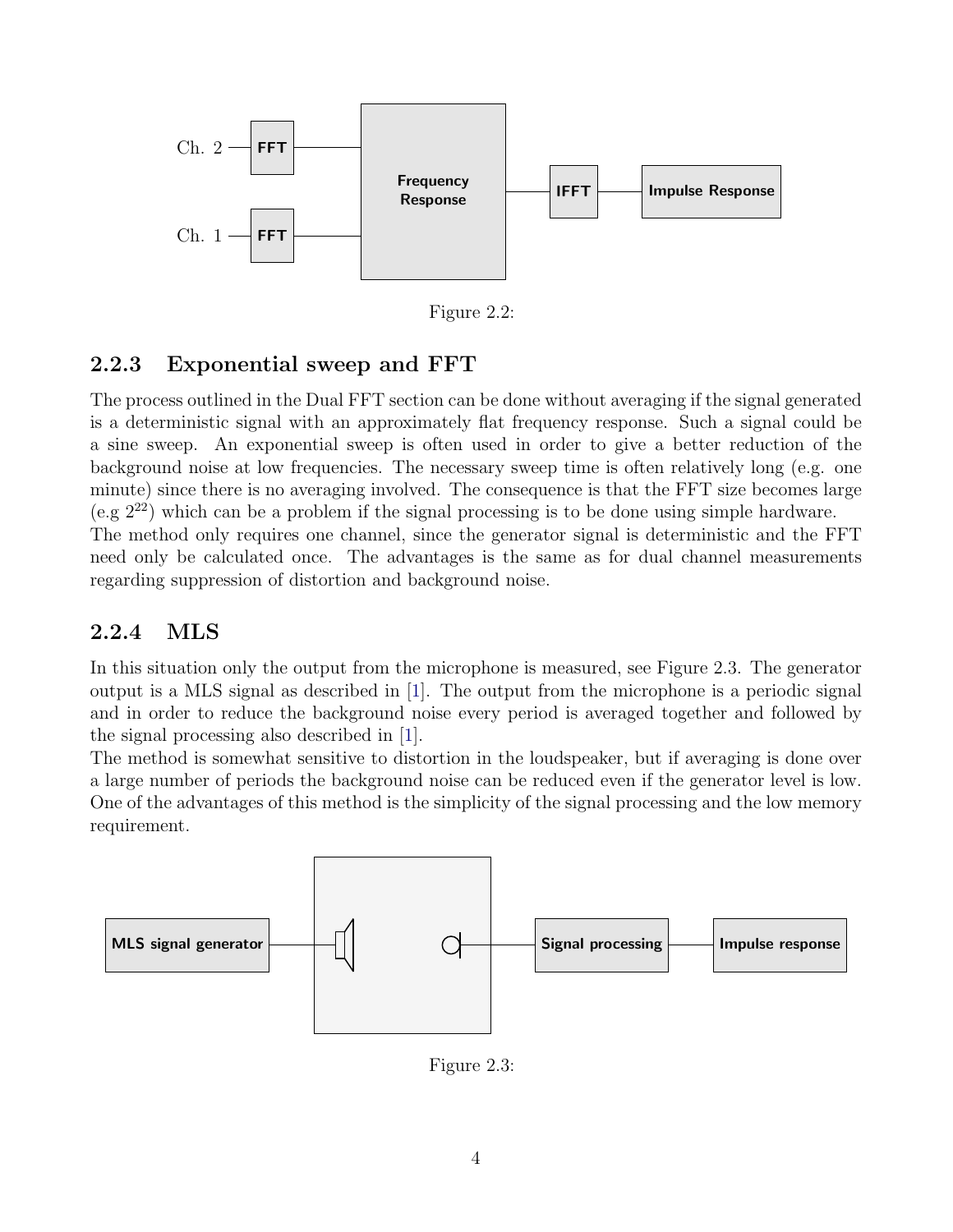

<span id="page-6-2"></span>Figure 2.2:

#### <span id="page-6-0"></span>2.2.3 Exponential sweep and FFT

The process outlined in the Dual FFT section can be done without averaging if the signal generated is a deterministic signal with an approximately flat frequency response. Such a signal could be a sine sweep. An exponential sweep is often used in order to give a better reduction of the background noise at low frequencies. The necessary sweep time is often relatively long (e.g. one minute) since there is no averaging involved. The consequence is that the FFT size becomes large (e.g  $2^{22}$ ) which can be a problem if the signal processing is to be done using simple hardware. The method only requires one channel, since the generator signal is deterministic and the FFT need only be calculated once. The advantages is the same as for dual channel measurements regarding suppression of distortion and background noise.

#### <span id="page-6-1"></span>2.2.4 MLS

In this situation only the output from the microphone is measured, see Figure [2.3.](#page-6-3) The generator output is a MLS signal as described in [\[1\]](#page-8-0). The output from the microphone is a periodic signal and in order to reduce the background noise every period is averaged together and followed by the signal processing also described in [\[1\]](#page-8-0).

The method is somewhat sensitive to distortion in the loudspeaker, but if averaging is done over a large number of periods the background noise can be reduced even if the generator level is low. One of the advantages of this method is the simplicity of the signal processing and the low memory requirement.



<span id="page-6-3"></span>Figure 2.3: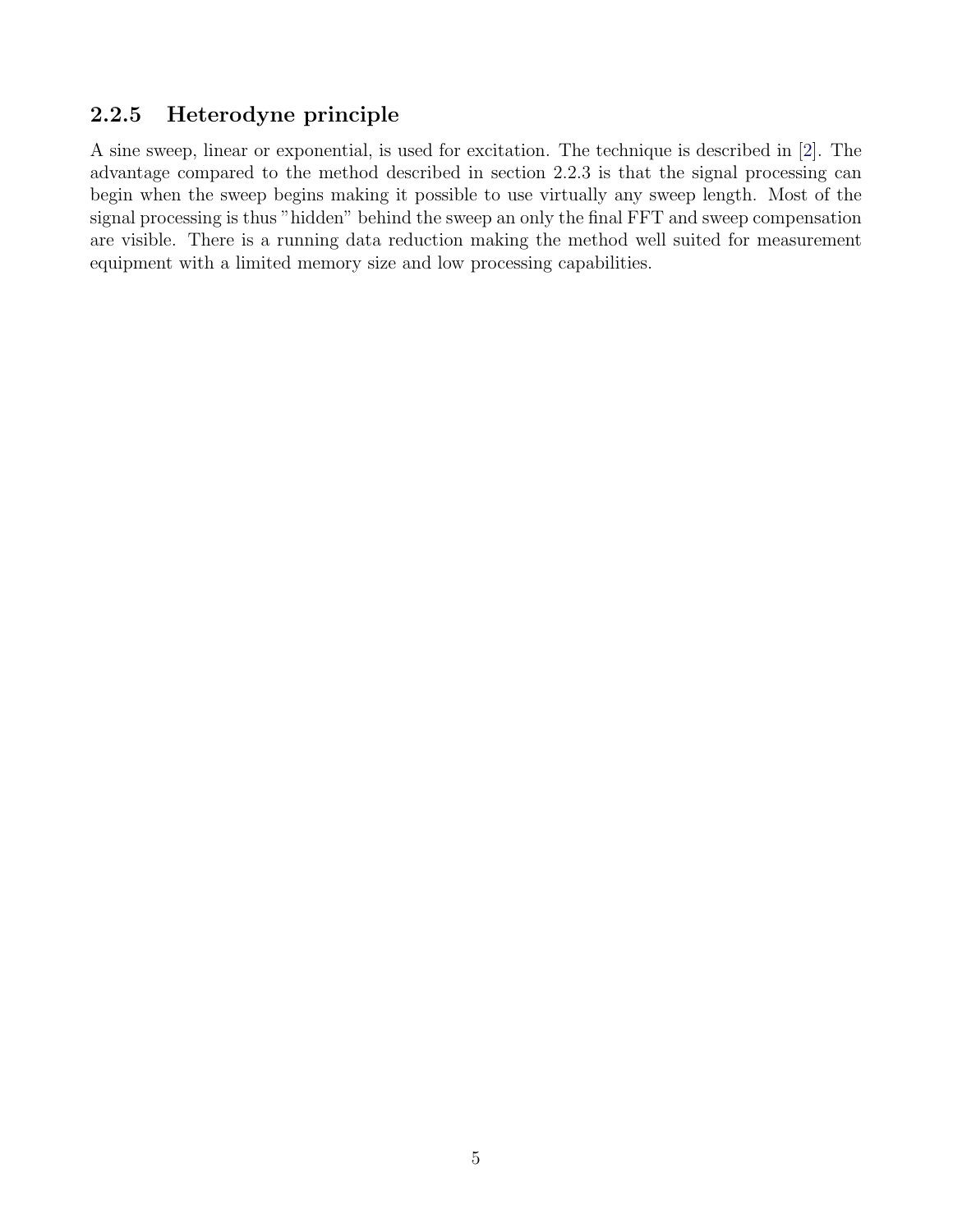#### <span id="page-7-0"></span>2.2.5 Heterodyne principle

A sine sweep, linear or exponential, is used for excitation. The technique is described in [\[2\]](#page-8-1). The advantage compared to the method described in section [2.2.3](#page-6-0) is that the signal processing can begin when the sweep begins making it possible to use virtually any sweep length. Most of the signal processing is thus "hidden" behind the sweep an only the final FFT and sweep compensation are visible. There is a running data reduction making the method well suited for measurement equipment with a limited memory size and low processing capabilities.